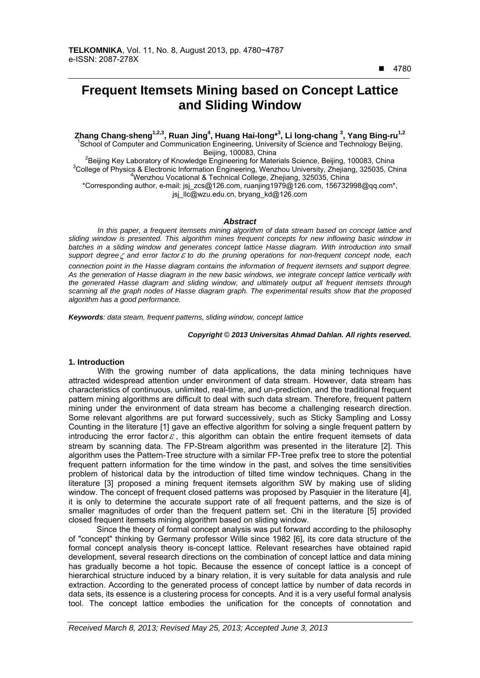$\overline{a}$ 

# **Frequent Itemsets Mining based on Concept Lattice and Sliding Window**

Zhang Chang-sheng<sup>1,2,3</sup>, Ruan Jing<sup>4</sup>, Huang Hai-long<sup>\*3</sup>, Li long-chang <sup>3</sup>, Yang Bing-ru<sup>1,2</sup><br><sup>1</sup>School of Computer and Communication Engineering, University of Science and Technology Beijing,

Beijing, 100083, China<br><sup>2</sup> Beijing Koul sherstery of Knowledge Engineering for Mater Beijing Key Laboratory of Knowledge Engineering for Materials Science, Beijing, 100083, China<br>3Cellege of Physics & Electronia Information Engineering, Wenzhou University, Zheijang, 325035, Ch <sup>3</sup>College of Physics & Electronic Information Engineering, Wenzhou University, Zhejiang, 325035, China Wenzhou Vocational & Technical College, Zhejiang, 325035, China

\*Corresponding author, e-mail: jsj\_zcs@126.com, ruanjing1979@126.com, 156732998@qq.com\*, jsj\_llc@wzu.edu.cn, bryang\_kd@126.com

#### *Abstract*

*In this paper, a frequent itemsets mining algorithm of data stream based on concept lattice and sliding window is presented. This algorithm mines frequent concepts for new inflowing basic window in*  batches in a sliding window and generates concept lattice Hasse diagram. With introduction into small *support degree and error factor to do the pruning operations for non-frequent concept node, each connection point in the Hasse diagram contains the information of frequent itemsets and support degree. As the generation of Hasse diagram in the new basic windows, we integrate concept lattice vertically with the generated Hasse diagram and sliding window, and ultimately output all frequent itemsets through scanning all the graph nodes of Hasse diagram graph. The experimental results show that the proposed algorithm has a good performance.* 

*Keywords: data steam, frequent patterns, sliding window, concept lattice* 

#### *Copyright* © *2013 Universitas Ahmad Dahlan. All rights reserved.*

#### **1. Introduction**

With the growing number of data applications, the data mining techniques have attracted widespread attention under environment of data stream. However, data stream has characteristics of continuous, unlimited, real-time, and un-prediction, and the traditional frequent pattern mining algorithms are difficult to deal with such data stream. Therefore, frequent pattern mining under the environment of data stream has become a challenging research direction. Some relevant algorithms are put forward successively, such as Sticky Sampling and Lossy Counting in the literature [1] gave an effective algorithm for solving a single frequent pattern by introducing the error factor  $\varepsilon$ , this algorithm can obtain the entire frequent itemsets of data stream by scanning data. The FP-Stream algorithm was presented in the literature [2]. This algorithm uses the Pattern-Tree structure with a similar FP-Tree prefix tree to store the potential frequent pattern information for the time window in the past, and solves the time sensitivities problem of historical data by the introduction of tilted time window techniques. Chang in the literature [3] proposed a mining frequent itemsets algorithm SW by making use of sliding window. The concept of frequent closed patterns was proposed by Pasquier in the literature [4], it is only to determine the accurate support rate of all frequent patterns, and the size is of smaller magnitudes of order than the frequent pattern set. Chi in the literature [5] provided closed frequent itemsets mining algorithm based on sliding window.

Since the theory of formal concept analysis was put forward according to the philosophy of "concept" thinking by Germany professor Wille since 1982 [6], its core data structure of the formal concept analysis theory is-concept lattice. Relevant researches have obtained rapid development, several research directions on the combination of concept lattice and data mining has gradually become a hot topic. Because the essence of concept lattice is a concept of hierarchical structure induced by a binary relation, it is very suitable for data analysis and rule extraction. According to the generated process of concept lattice by number of data records in data sets, its essence is a clustering process for concepts. And it is a very useful formal analysis tool. The concept lattice embodies the unification for the concepts of connotation and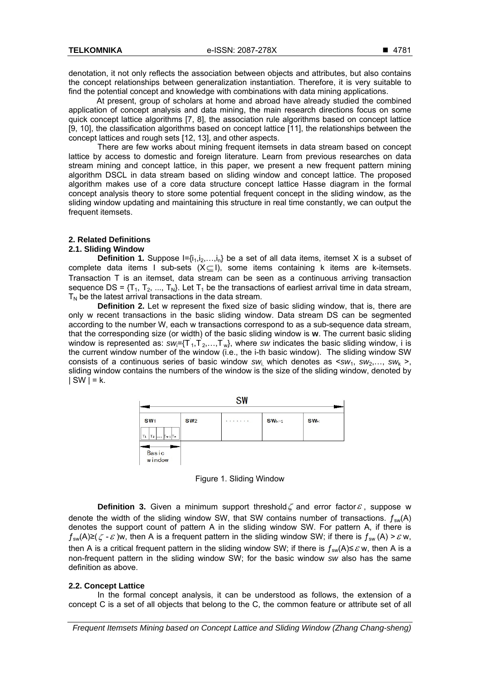denotation, it not only reflects the association between objects and attributes, but also contains the concept relationships between generalization instantiation. Therefore, it is very suitable to find the potential concept and knowledge with combinations with data mining applications.

At present, group of scholars at home and abroad have already studied the combined application of concept analysis and data mining, the main research directions focus on some quick concept lattice algorithms [7, 8], the association rule algorithms based on concept lattice [9, 10], the classification algorithms based on concept lattice [11], the relationships between the concept lattices and rough sets [12, 13], and other aspects.

There are few works about mining frequent itemsets in data stream based on concept lattice by access to domestic and foreign literature. Learn from previous researches on data stream mining and concept lattice, in this paper, we present a new frequent pattern mining algorithm DSCL in data stream based on sliding window and concept lattice. The proposed algorithm makes use of a core data structure concept lattice Hasse diagram in the formal concept analysis theory to store some potential frequent concept in the sliding window, as the sliding window updating and maintaining this structure in real time constantly, we can output the frequent itemsets.

## **2. Related Definitions**

#### **2.1. Sliding Window**

**Definition 1.** Suppose  $I = \{i_1, i_2, \ldots, i_n\}$  be a set of all data items, itemset X is a subset of complete data items I sub-sets  $(X \subseteq I)$ , some items containing k items are k-itemsets. Transaction T is an itemset, data stream can be seen as a continuous arriving transaction sequence DS =  $\{T_1, T_2, ..., T_N\}$ . Let  $T_1$  be the transactions of earliest arrival time in data stream,  $T_N$  be the latest arrival transactions in the data stream.

**Definition 2.** Let w represent the fixed size of basic sliding window, that is, there are only w recent transactions in the basic sliding window. Data stream DS can be segmented according to the number W, each w transactions correspond to as a sub-sequence data stream, that the corresponding size (or width) of the basic sliding window is **w**. The current basic sliding window is represented as:  $\sin{\frac{1}{2}}$ ,  $\sin{\frac{1}{2}}$ ,..., T<sub>w</sub>}, where *sw* indicates the basic sliding window, i is the current window number of the window (i.e., the i-th basic window). The sliding window SW consists of a continuous series of basic window  $sw_i$  which denotes as  $sw_1$ ,  $sw_2$ ,...,  $sw_k$ , sliding window contains the numbers of the window is the size of the sliding window, denoted by  $|SW| = k.$ 



Figure 1. Sliding Window

**Definition 3.** Given a minimum support threshold  $\zeta$  and error factor  $\varepsilon$ , suppose w denote the width of the sliding window SW, that SW contains number of transactions.  $f_{sw}(A)$ denotes the support count of pattern A in the sliding window SW. For pattern A, if there is  $f_{sw}(A) \geq (\zeta - \varepsilon)w$ , then A is a frequent pattern in the sliding window SW; if there is  $f_{sw}(A) > \varepsilon w$ , then A is a critical frequent pattern in the sliding window SW; if there is  $f_{sw}(A) \leq \varepsilon w$ , then A is a non-frequent pattern in the sliding window SW; for the basic window *sw* also has the same definition as above.

## **2.2. Concept Lattice**

In the formal concept analysis, it can be understood as follows, the extension of a concept C is a set of all objects that belong to the C, the common feature or attribute set of all

*Frequent Itemsets Mining based on Concept Lattice and Sliding Window (Zhang Chang-sheng)*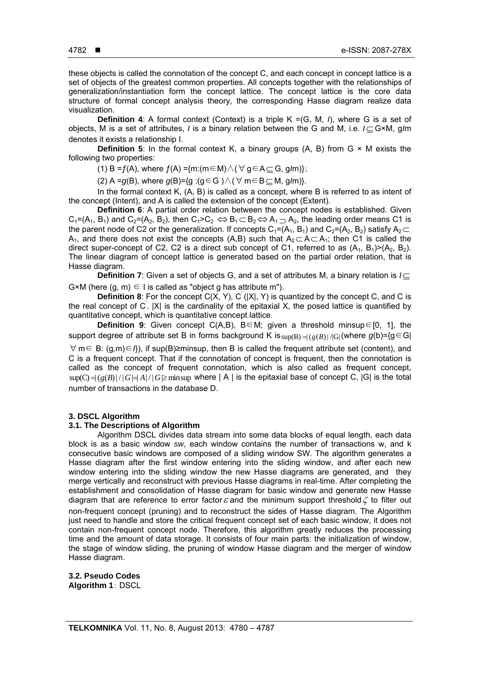these objects is called the connotation of the concept C, and each concept in concept lattice is a set of objects of the greatest common properties. All concepts together with the relationships of generalization/instantiation form the concept lattice. The concept lattice is the core data structure of formal concept analysis theory, the corresponding Hasse diagram realize data visualization.

**Definition 4**: A formal context (Context) is a triple K =(G, M, *I*), where G is a set of objects, M is a set of attributes, *I* is a binary relation between the G and M, i.e.  $I \subseteq G \times M$ , g/m denotes it exists a relationship I.

**Definition 5:** In the formal context K, a binary groups  $(A, B)$  from  $G \times M$  exists the following two properties:

(1) B = f(A), where  $f(A) = \{m : (m \in M) \land (\forall g \in A \subseteq G, g/m)\};$ 

(2) A = $g(B)$ , where  $g(B)=\{g : (g \in G) \wedge (\forall m \in B \subset M, g/m)\}.$ 

In the formal context K, (A, B) is called as a concept, where B is referred to as intent of the concept (Intent), and A is called the extension of the concept (Extent).

**Definition 6**: A partial order relation between the concept nodes is established. Given  $C_1=(A_1, B_1)$  and  $C_2=(A_2, B_2)$ , then  $C_1>C_2 \Leftrightarrow B_1 \subset B_2 \Leftrightarrow A_1 \supset A_2$ , the leading order means C1 is the parent node of C2 or the generalization. If concepts  $C_1=(A_1, B_1)$  and  $C_2=(A_2, B_2)$  satisfy  $A_2 \subset I$ A<sub>1</sub>, and there does not exist the concepts (A,B) such that  $A_2 \subset A \subset A_1$ ; then C1 is called the direct super-concept of C2, C2 is a direct sub concept of C1, referred to as  $(A_1, B_1)>(A_2, B_2)$ . The linear diagram of concept lattice is generated based on the partial order relation, that is Hasse diagram.

**Definition 7**: Given a set of objects G, and a set of attributes M, a binary relation is  $I \subseteq$  $G \times M$  (here (q, m)  $\in I$  is called as "object q has attribute m").

**Definition 8**: For the concept C(X, Y), C<sup>'</sup> (|X|, Y) is quantized by the concept C, and C is the real concept of C. |X| is the cardinality of the epitaxial X, the posed lattice is quantified by quantitative concept, which is quantitative concept lattice.

**Definition 9:** Given concept C(A,B), B∈M; given a threshold minsup∈[0, 1], the support degree of attribute set B in forms background K is  $sup(B) = |(g(B))|/|G|$  (where  $g(b) = {g \in G}$  m∈ B: (g*,*m)∈*I*}), if sup(B)≥minsup, then B is called the frequent attribute set (content), and C is a frequent concept. That if the connotation of concept is frequent, then the connotation is called as the concept of frequent connotation, which is also called as frequent concept,  $\sup(C) = (g(B)/|G| \neq A)/|G| \ge \min \sup$  where | A | is the epitaxial base of concept C, |G| is the total number of transactions in the database D.

## **3. DSCL Algorithm**

### **3.1. The Descriptions of Algorithm**

Algorithm DSCL divides data stream into some data blocks of equal length, each data block is as a basic window *sw*, each window contains the number of transactions w, and k consecutive basic windows are composed of a sliding window SW. The algorithm generates a Hasse diagram after the first window entering into the sliding window, and after each new window entering into the sliding window the new Hasse diagrams are generated, and they merge vertically and reconstruct with previous Hasse diagrams in real-time. After completing the establishment and consolidation of Hasse diagram for basic window and generate new Hasse diagram that are reference to error factor  $\varepsilon$  and the minimum support threshold  $\zeta$  to filter out non-frequent concept (pruning) and to reconstruct the sides of Hasse diagram. The Algorithm just need to handle and store the critical frequent concept set of each basic window, it does not contain non-frequent concept node. Therefore, this algorithm greatly reduces the processing time and the amount of data storage. It consists of four main parts: the initialization of window, the stage of window sliding, the pruning of window Hasse diagram and the merger of window Hasse diagram.

**3.2. Pseudo Codes Algorithm 1**: DSCL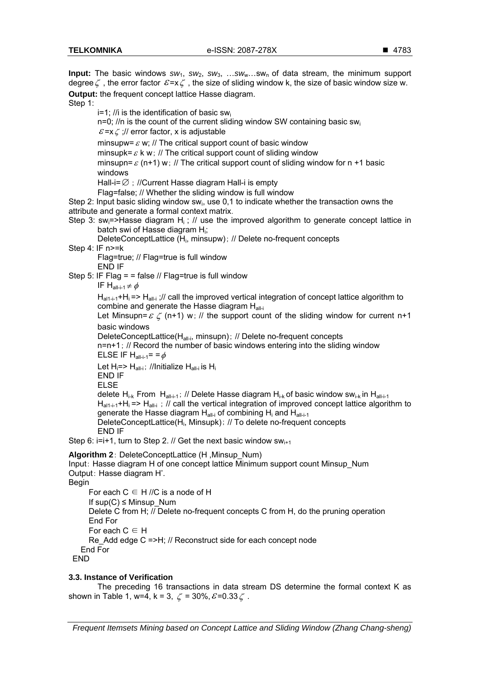**Input:** The basic windows  $sw_1$ ,  $sw_2$ ,  $sw_3$ , ...sw<sub>w</sub>...sw<sub>n</sub> of data stream, the minimum support degree  $\zeta$ , the error factor  $\varepsilon = x \zeta$ , the size of sliding window k, the size of basic window size w. **Output:** the frequent concept lattice Hasse diagram. Step 1:  $i=1$ ; //i is the identification of basic swin=0;  $\ln$  is the count of the current sliding window SW containing basic swig- $\mathcal{E}$  =x  $\zeta$  ;// error factor, x is adjustable minsupw=  $\varepsilon$  w; // The critical support count of basic window minsupk=  $\varepsilon$  k w; // The critical support count of sliding window minsupn=  $\varepsilon$  (n+1) w; // The critical support count of sliding window for n +1 basic windows Hall-i=  $\emptyset$  : //Current Hasse diagram Hall-i is empty Flag=false; // Whether the sliding window is full window Step 2: Input basic sliding window sw<sub>i</sub>, use 0,1 to indicate whether the transaction owns the attribute and generate a formal context matrix. Step 3: sw<sub>i</sub>=>Hasse diagram H<sub>i</sub>; // use the improved algorithm to generate concept lattice in batch swi of Hasse diagram H<sub>i</sub>; DeleteConceptLattice (H<sub>i</sub>, minsupw); // Delete no-frequent concepts Step 4: IF n>=k Flag=true; // Flag=true is full window END IF Step 5: IF Flag =  $=$  false // Flag=true is full window IF  $H_{all-i-1} \neq \phi$  $H_{\text{alt}-i-1}$ +H<sub>i</sub> $=$ > H<sub>all-i</sub>;// call the improved vertical integration of concept lattice algorithm to combine and generate the Hasse diagram Hall-i Let Minsupn=  $\varepsilon \zeta$  (n+1) w; // the support count of the sliding window for current n+1 basic windows DeleteConceptLattice(H<sub>all-i</sub>, minsupn); // Delete no-frequent concepts n=n+1; // Record the number of basic windows entering into the sliding window ELSE IF  $H_{all-i-1} = = \phi$ Let  $H_i = > H_{all-i}$ ; //Initialize  $H_{all-i}$  is  $H_i$ END IF ELSE delete H<sub>i-k</sub> From H<sub>all-i-1</sub>; // Delete Hasse diagram H<sub>i-k</sub> of basic window sw<sub>i-k</sub> in H<sub>all-i-1</sub>  $H_{\text{alt}-i-1}$ +H<sub>i</sub> => H<sub>all-i</sub>; // call the vertical integration of improved concept lattice algorithm to generate the Hasse diagram  $H_{\text{all-i}}$  of combining  $H_i$  and  $H_{\text{all-i-1}}$ DeleteConceptLattice(H<sub>i</sub>, Minsupk); // To delete no-frequent concepts END IF Step 6:  $i=i+1$ , turn to Step 2. // Get the next basic window sw $_{i+1}$ **Algorithm 2**: DeleteConceptLattice (H ,Minsup\_Num) Input: Hasse diagram H of one concept lattice Minimum support count Minsup\_Num Output: Hasse diagram H'. Begin For each  $C \in H$  //C is a node of H If  $sup(C) \leq$  Minsup Num Delete C from H; // Delete no-frequent concepts C from H, do the pruning operation End For For each  $C \in H$ 

Re Add edge C =>H; // Reconstruct side for each concept node End For

END

## **3.3. Instance of Verification**

The preceding 16 transactions in data stream DS determine the formal context K as shown in Table 1, w=4, k = 3,  $\zeta$  = 30%,  $\mathcal{E}$ =0.33 $\zeta$ .

*Frequent Itemsets Mining based on Concept Lattice and Sliding Window (Zhang Chang-sheng)*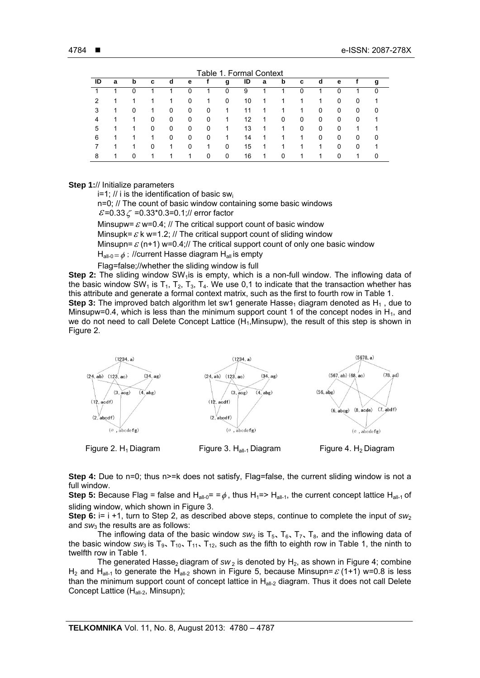| 1. Formal Context<br>Table : |   |   |   |   |   |   |   |    |   |          |   |   |   |   |   |
|------------------------------|---|---|---|---|---|---|---|----|---|----------|---|---|---|---|---|
| ID                           | a | b | c | d | е |   | g | ID | a | b        | c | d | е |   | g |
|                              |   | 0 |   |   | 0 |   | 0 | 9  |   | 1        | 0 |   | 0 |   | 0 |
| 2                            |   |   |   |   | 0 | 1 | 0 | 10 | 1 |          |   |   | 0 | 0 |   |
| 3                            |   | 0 |   | 0 | 0 | 0 | 1 | 11 | 1 |          | 1 | 0 | 0 | 0 | 0 |
| 4                            |   |   | 0 | 0 | 0 | 0 | 1 | 12 | 1 | 0        | 0 | 0 | 0 | 0 |   |
| 5                            |   |   | 0 | 0 | 0 | 0 |   | 13 | 1 |          | 0 | 0 | 0 |   |   |
| 6                            |   |   |   | 0 | 0 | 0 | 1 | 14 | 1 |          | 1 | 0 | 0 | 0 | 0 |
|                              |   | 1 | 0 | 1 | 0 | 1 | 0 | 15 | 1 |          |   | 1 | 0 | 0 | 1 |
| 8                            |   | 0 |   |   | 1 | 0 | 0 | 16 | 1 | $\Omega$ |   |   | 0 |   | 0 |

### **Step 1:**// Initialize parameters

 $i=1$ ; // i is the identification of basic swi

n=0; // The count of basic window containing some basic windows  $\mathcal{E}$ =0.33  $\zeta$  =0.33\*0.3=0.1;// error factor

Minsupw=  $\varepsilon$  w=0.4; // The critical support count of basic window Minsupk=  $\varepsilon$  k w=1.2; // The critical support count of sliding window

Minsupn=  $\varepsilon$  (n+1) w=0.4;// The critical support count of only one basic window

 $H_{all-0} = \phi$ : //current Hasse diagram  $H_{all}$  is empty

Flag=false;//whether the sliding window is full

**Step 2:** The sliding window SW<sub>1</sub> is is empty, which is a non-full window. The inflowing data of the basic window SW<sub>1</sub> is T<sub>1</sub>, T<sub>2</sub>, T<sub>3</sub>, T<sub>4</sub>. We use 0,1 to indicate that the transaction whether has this attribute and generate a formal context matrix, such as the first to fourth row in Table 1. **Step 3:** The improved batch algorithm let sw1 generate Hasse<sub>1</sub> diagram denoted as  $H_1$ , due to Minsupw=0.4, which is less than the minimum support count 1 of the concept nodes in  $H_1$ , and we do not need to call Delete Concept Lattice  $(H_1, Minsupw)$ , the result of this step is shown in Figure 2.



**Step 4:** Due to n=0; thus n>=k does not satisfy, Flag=false, the current sliding window is not a full window.

**Step 5:** Because Flag = false and H<sub>all-0</sub>= =  $\phi$ , thus H<sub>1</sub>=> H<sub>all-1</sub>, the current concept lattice H<sub>all-1</sub> of sliding window, which shown in Figure 3.

**Step 6:**  $i= i +1$ , turn to Step 2, as described above steps, continue to complete the input of *sw*<sub>2</sub> and *sw*3 the results are as follows:

The inflowing data of the basic window  $sw_2$  is  $T_5$ ,  $T_6$ ,  $T_7$ ,  $T_8$ , and the inflowing data of the basic window  $sw_3$  is  $T_{9}$ ,  $T_{10}$ ,  $T_{11}$ ,  $T_{12}$ , such as the fifth to eighth row in Table 1, the ninth to twelfth row in Table 1.

The generated Hasse<sub>2</sub> diagram of  $sw_2$  is denoted by H<sub>2</sub>, as shown in Figure 4; combine H<sub>2</sub> and H<sub>all-1</sub> to generate the H<sub>all-2</sub> shown in Figure 5, because Minsupn=  $\varepsilon$  (1+1) w=0.8 is less than the minimum support count of concept lattice in  $H_{all-2}$  diagram. Thus it does not call Delete Concept Lattice (H<sub>all-2</sub>, Minsupn);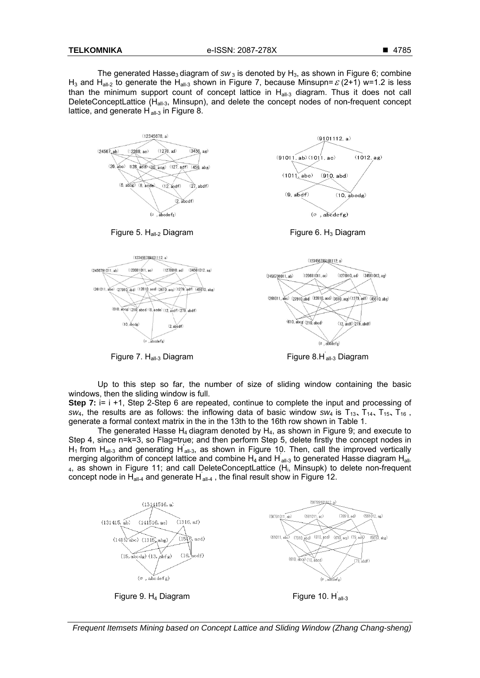The generated Hasse<sub>3</sub> diagram of sw<sub>3</sub> is denoted by H<sub>3</sub>, as shown in Figure 6; combine H<sub>3</sub> and H<sub>all-2</sub> to generate the H<sub>all-3</sub> shown in Figure 7, because Minsupn=  $\varepsilon$  (2+1) w=1.2 is less than the minimum support count of concept lattice in H<sub>all-3</sub> diagram. Thus it does not call DeleteConceptLattice ( $H_{all-3}$ , Minsupn), and delete the concept nodes of non-frequent concept lattice, and generate  $H_{all,3}$  in Figure 8.





Up to this step so far, the number of size of sliding window containing the basic windows, then the sliding window is full.

Step 7:  $i = i + 1$ , Step 2-Step 6 are repeated, continue to complete the input and processing of sw<sub>4</sub>, the results are as follows: the inflowing data of basic window sw<sub>4</sub> is  $T_{13}$ ,  $T_{14}$ ,  $T_{15}$ ,  $T_{16}$ , generate a formal context matrix in the in the 13th to the 16th row shown in Table 1.

The generated Hasse  $H_4$  diagram denoted by  $H_4$ , as shown in Figure 9; and execute to Step 4, since n=k=3, so Flag=true; and then perform Step 5, delete firstly the concept nodes in  $H_1$  from  $H_{all-3}$  and generating  $H_{all-3}$ , as shown in Figure 10. Then, call the improved vertically merging algorithm of concept lattice and combine  $H_4$  and  $H_{all-3}$  to generated Hasse diagram H<sub>all</sub> 4, as shown in Figure 11; and call DeleteConceptLattice (H<sub>i</sub>, Minsupk) to delete non-frequent concept node in H<sub>all-4</sub> and generate H<sub>all-4</sub>, the final result show in Figure 12.



Frequent Itemsets Mining based on Concept Lattice and Sliding Window (Zhang Chang-sheng)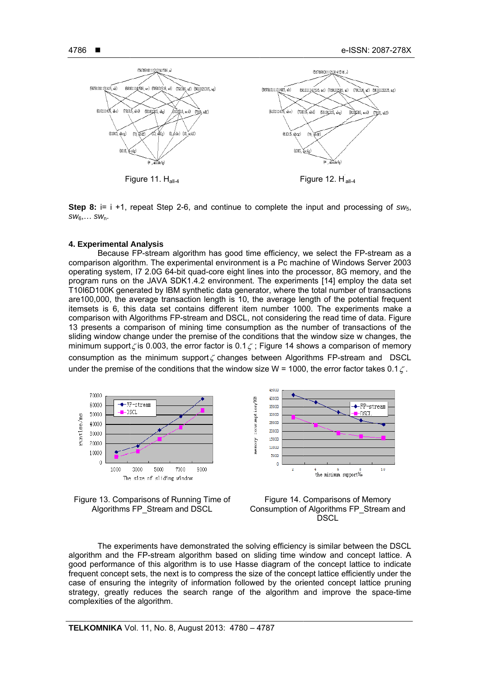

**Step 8:** i= i +1, repeat Step 2-6, and continue to complete the input and processing of  $sw_{5}$ ,  $SW_6, \ldots SW_n$ .

#### 4. Experimental Analysis

Because FP-stream algorithm has good time efficiency, we select the FP-stream as a comparison algorithm. The experimental environment is a Pc machine of Windows Server 2003 operating system, I7 2.0G 64-bit guad-core eight lines into the processor, 8G memory, and the program runs on the JAVA SDK1.4.2 environment. The experiments [14] employ the data set T10I6D100K generated by IBM synthetic data generator, where the total number of transactions are 100,000, the average transaction length is 10, the average length of the potential frequent itemsets is 6, this data set contains different item number 1000. The experiments make a comparison with Algorithms FP-stream and DSCL, not considering the read time of data. Figure 13 presents a comparison of mining time consumption as the number of transactions of the sliding window change under the premise of the conditions that the window size w changes, the minimum support  $\zeta$  is 0.003, the error factor is 0.1  $\zeta$ ; Figure 14 shows a comparison of memory consumption as the minimum support  $\zeta$  changes between Algorithms FP-stream and DSCL under the premise of the conditions that the window size W = 1000, the error factor takes 0.1 $\zeta$ .









The experiments have demonstrated the solving efficiency is similar between the DSCL algorithm and the FP-stream algorithm based on sliding time window and concept lattice. A good performance of this algorithm is to use Hasse diagram of the concept lattice to indicate frequent concept sets, the next is to compress the size of the concept lattice efficiently under the case of ensuring the integrity of information followed by the oriented concept lattice pruning strategy, greatly reduces the search range of the algorithm and improve the space-time complexities of the algorithm.